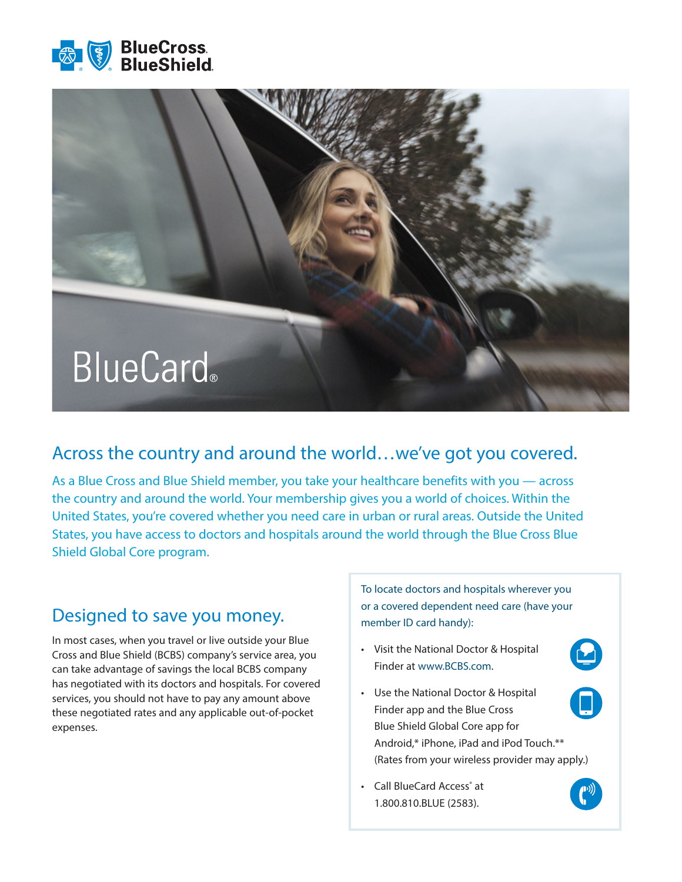



## Across the country and around the world…we've got you covered.

As a Blue Cross and Blue Shield member, you take your healthcare benefits with you — across the country and around the world. Your membership gives you a world of choices. Within the United States, you're covered whether you need care in urban or rural areas. Outside the United States, you have access to doctors and hospitals around the world through the Blue Cross Blue Shield Global Core program.

## Designed to save you money.

In most cases, when you travel or live outside your Blue Cross and Blue Shield (BCBS) company's service area, you can take advantage of savings the local BCBS company has negotiated with its doctors and hospitals. For covered services, you should not have to pay any amount above these negotiated rates and any applicable out-of-pocket expenses.

To locate doctors and hospitals wherever you or a covered dependent need care (have your member ID card handy):

- Visit the National Doctor & Hospital Finder at www.BCBS.com.
- Use the National Doctor & Hospital Finder app and the Blue Cross Blue Shield Global Core app for Android,\* iPhone, iPad and iPod Touch.\*\* (Rates from your wireless provider may apply.)
- Call BlueCard Access<sup>®</sup> at 1.800.810.BLUE (2583).



 $\boldsymbol{\Theta}$